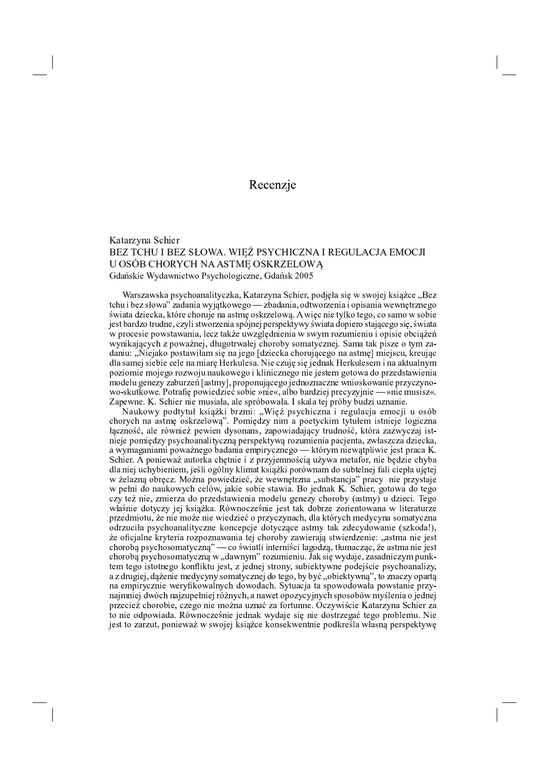## Recenzje

## Katarzyna Schier BEZ TCHU I BEZ SŁOWA. WIĘŹ PSYCHICZNA I REGULACJA EMOCJI U OSÓB CHORYCH NA ASTME OSKRZELOWĄ Gdańskie Wydawnictwo Psychologiczne, Gdańsk 2005

Warszawska psychoanalityczka, Katarzyna Schier, podjęła się w swojej książce "Bez tchu i bez słowa" zadania wyjątkowego — zbadania, odtworzenia i opisania wewnętrznego świata dziecka, które choruje na astmę oskrzelową. A więc nie tylko tego, co samo w sobie jest bardzo trudne, czyli stworzenia spójnej perspektywy świata dopiero stającego się, świata w procesie powstawania, lecz także uwzględnienia w swym rozumieniu i opisie obciążeń wynikających z poważnej, długotrwałej choroby somatycznej. Sama tak pisze o tym zadaniu: "Niejako postawiłam się na jego [dziecka chorującego na astmę] miejscu, kreując dla samej siebie cele na miarę Herkulesa. Nie czuję się jednak Herkulesem i na aktualnym poziomie mojego rozwoju naukowego i klinicznego nie jestem gotowa do przedstawienia modelu genezy zaburzeń [astmy], proponującego jednoznaczne wnioskowanie przyczynowo-skutkowe. Potrafię powiedzieć sobie »nie«, albo bardziej precyzyjnie - »nie musisz«. Zapewne. K. Schier nie musiała, ale spróbowała. I skala tej próby budzi uznanie.

Naukowy podtytuł książki brzmi: "Więź psychiczna i regulacja emocji u osób chorych na astmę oskrzelową". Pomiędzy nim a poetyckim tytułem istnieje logiczna łączność, ale również pewien dysonans, zapowiadający trudność, która zazwyczaj istnieje pomiędzy psychoanalityczną perspektywą rozumienia pacjenta, zwłaszcza dziecka, a wymaganiami poważnego badania empirycznego - którym niewątpliwie jest praca K. Schier. A ponieważ autorka chętnie i z przyjemnością używa metafor, nie będzie chyba dla niej uchybieniem, jeśli ogólny klimat książki porównam do subtelnej fali ciepła ujętej w żelazną obręcz. Można powiedzieć, że wewnętrzna "substancja" pracy nie przystaje w pełni do naukowych celów, jakie sobie stawia. Bo jednak K. Schier, gotowa do tego czy też nie, zmierza do przedstawienia modelu genezy choroby (astmy) u dzieci. Tego właśnie dotyczy jej książka. Równocześnie jest tak dobrze zorientowana w literaturze przedmiotu, że nie może nie wiedzieć o przyczynach, dla których medycyna somatyczna odrzuciła psychoanalityczne koncepcje dotyczące astmy tak zdecydowanie (szkoda!), że oficjalne kryteria rozpoznawania tej choroby zawierają stwierdzenie: "astma nie jest chorobą psychosomatyczną" — co światli interniści łagodzą, tłumacząc, że astma nie jest chorobą psychosomatyczną w "dawnym" rozumieniu. Jak się wydaje, zasadniczym punktem tego istotnego konfliktu jest, z jednej strony, subiektywne podejście psychoanalizy, a z drugiej, dążenie medycyny somatycznej do tego, by być "obiektywną", to znaczy opartą na empirycznie weryfikowalnych dowodach. Sytuacja ta spowodowała powstanie przynajmniej dwóch najzupełniej różnych, a nawet opozycyjnych sposobów myślenia o jednej przecież chorobie, czego nie można uznać za fortunne. Oczywiście Katarzyna Schier za to nie odpowiada. Równocześnie jednak wydaje się nie dostrzegać tego problemu. Nie jest to zarzut, ponieważ w swojej książce konsekwentnie podkreśla własną perspektywę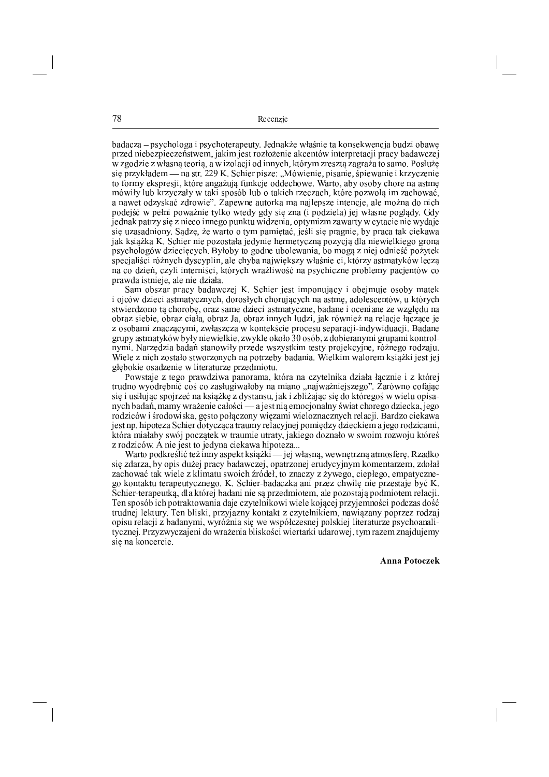78 Recenzie

badacza – psychologa i psychoterapeuty. Jednakże właśnie ta konsekwencja budzi obawę przed niebezpieczeństwem, jakim jest rozłożenie akcentów interpretacji pracy badawczej w zgodzie z własną teorią, a w izolacji od innych, którym zresztą zagraża to samo. Posłużę się przykładem — na str. 229 K. Schier pisze: "Mówienie, pisanie, śpiewanie i krzyczenie to formy ekspresji, które angażują funkcje oddechowe. Warto, aby osoby chore na astmę mówiły lub krzyczały w taki sposób lub o takich rzeczach, które pozwolą im zachować, a nawet odzyskać zdrowie". Zapewne autorka ma najlepsze intencje, ale można do nich podejść w pełni poważnie tylko wtedy gdy się zna (i podziela) jej własne poglądy. Gdy jednak patrzy się z nieco innego punktu widzenia, optymizm zawarty w cytacie nie wydaje się uzasadniony. Sądzę, że warto o tym pamiętać, jeśli się pragnie, by praca tak ciekawa jak książka K. Schier nie pozostała jedynie hermetyczną pozycją dla niewielkiego grona psychologów dziecięcych. Byłoby to godne ubolewania, bo mogą z niej odnieść pożytek specjaliści różnych dyscyplin, ale chyba największy właśnie ci, którzy astmatyków leczą na co dzień, czyli interniści, których wrażliwość na psychiczne problemy pacjentów co prawda istnieje, ale nie działa.

Sam obszar pracy badawczej K. Schier jest imponujący i obejmuje osoby matek i ojców dzieci astmatycznych, dorosłych chorujących na astmę, adolescentów, u których stwierdzono tą chorobę, oraz same dzieci astmatyczne, badane i oceniane ze względu na obraz siebie, obraz ciała, obraz Ja, obraz innych ludzi, jak również na relacje łączące je z osobami znaczącymi, zwłaszcza w kontekście procesu separacji-indywiduacji. Badane  $gr$ upy astmatyków były niewielkie, zwykle około 30 osób, z dobieranymi grupami kontrolnymi. Narzędzia badań stanowiły przede wszystkim testy projekcyjne, różnego rodzaju. Wiele z nich zostało stworzonych na potrzeby badania. Wielkim walorem książki jest jej głębokie osadzenie w literaturze przedmiotu.

Powstaje z tego prawdziwa panorama, która na czytelnika działa łącznie i z której trudno wyodrębnić coś co zasługiwałoby na miano "najważniejszego". Zarówno cofając się i usiłując spojrzeć na książkę z dystansu, jak i zbliżając się do któregoś w wielu opisanych badań, mamy wrażenie całości — a jest nią emocjonalny świat chorego dziecka, jego r odziców i środowiska, gęsto połączony więzami wieloznacznych relacji. Bardzo ciekawa jest np. hipoteza Schier dotycząca traumy relacyjnej pomiędzy dzieckiem a jego rodzicami, która miałaby swój początek w traumie utraty, jakiego doznało w swoim rozwoju któreś z rodziców. A nie jest to jedyna ciekawa hipoteza...

Warto podkreślić też inny aspekt książki — jej własną, wewnętrzną atmosferę. Rzadko się zdarza, by opis dużej pracy badawczej, opatrzonej erudycyjnym komentarzem, zdołał zachować tak wiele z klimatu swoich źródeł, to znaczy z żywego, ciepłego, empatycznego kontaktu terapeutycznego. K. Schier-badaczka ani przez chwilę nie przestaje być K. Schier-terapeutką, dla której badani nie są przedmiotem, ale pozostają podmiotem relacji. <sup>ª</sup> <sup>w</sup> <sup>v</sup> <sup>z</sup> <sup>w</sup> <sup>p</sup> } <sup>s</sup> <sup>y</sup> <sup>v</sup> <sup>z</sup> <sup>~</sup> <sup>q</sup> <sup>~</sup> <sup>z</sup> <sup>q</sup> } <sup>q</sup> <sup>r</sup> <sup>q</sup> <sup>s</sup> <sup>t</sup> <sup>x</sup> <sup>~</sup> { } <sup>z</sup> } } { <sup>z</sup> <sup>s</sup> <sup>v</sup> <sup>t</sup> <sup>x</sup> <sup>z</sup> <sup>s</sup> } <sup>v</sup> <sup>z</sup> <sup>r</sup> <sup>s</sup> <sup>t</sup> <sup>q</sup> <sup>w</sup> <sup>r</sup> <sup>z</sup>  $\bullet$  . The first section of the section of the section of the section of the section of the section of the section of the section of the section of the section of the section of the section of the section of the section o opisu relacji z badanymi, wyróżnia się we współczesnej polskiej literaturze psychoanalitycznej. Przyzwyczajeni do wrażenia bliskości wiertarki udarowej, tym razem znajdujemy się na koncercie.

Anna Potoczek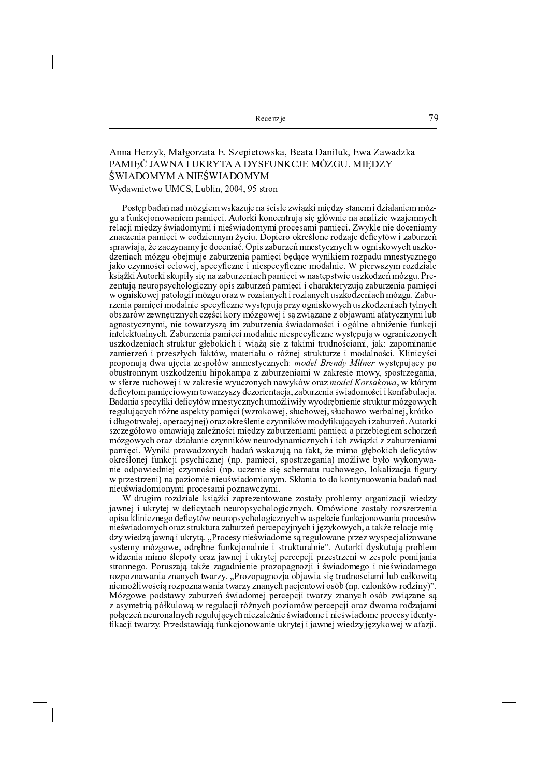Recenzie

## Anna Herzyk, Małgorzata E. Szepietowska, Beata Daniluk, Ewa Zawadzka PAMIĘĆ JAWNA I UKRYTA A DYSFUNKCJE MÓZGU. MIĘDZY ŚWIADOMYM A NIEŚWIADOMYM Wydawnictwo UMCS, Lublin, 2004, 95 stron

Postęp badań nad mózgiem wskazuje na ścisłe związki między stanem i działaniem mózgu a funkcjonowaniem pamięci. Autorki koncentrują się głównie na analizie wzajemnych relacji między świadomymi i nieświadomymi procesami pamięci. Zwykle nie doceniamy znaczenia pamięci w codziennym życiu. Dopiero określone rodzaje deficytów i zaburzeń sprawiają, że zaczynamy je doceniać. Opis zaburzeń mnestycznych w ogniskowych uszkodzeniach mózgu obejmuje zaburzenia pamięci będące wynikiem rozpadu mnestycznego jako czynności celowej, specyficzne i niespecyficzne modalnie. W pierwszym rozdziale książki Autorki skupiły się na zaburzeniach pamięci w następstwie uszkodzeń mózgu. Prezentują neuropsychologiczny opis zaburzeń pamięci i charakteryzują zaburzenia pamięci w ogniskowej patologii mózgu oraz w rozsianych i rozlanych uszkodzeniach mózgu. Zaburzenia pamięci modalnie specyficzne występują przy ogniskowych uszkodzeniach tylnych obszarów zewnętrznych części kory mózgowej i są związane z objawami afatycznymi lub agnostycznymi, nie towarzyszą im zaburzenia świadomości i ogólne obniżenie funkcji intelektualnych. Zaburzenia pamięci modalnie niespecyficzne występują w ograniczonych uszkodzeniach struktur głębokich i wiążą się z takimi trudnościami, jak: zapominanie zamierzeń i przeszłych faktów, materiału o różnej strukturze i modalności. Klinicyści proponują dwa ujęcia zespołów amnestycznych: model Brendy Milner występujący po obustronnym uszkodzeniu hipokampa z zaburzeniami w zakresie mowy, spostrzegania, w sferze ruchowej i w zakresie wyuczonych nawyków oraz *model Korsakowa*, w którym deficytom pamięciowym towarzyszy dezorientacja, zaburzenia świadomości i konfabulacja. Badania specyfiki deficytów mnestycznych umożliwiły wyodrębnienie struktur mózgowych regulujących różne aspekty pamięci (wzrokowej, słuchowej, słuchowo-werbalnej, krótkoi długotrwałej, operacyjnej) oraz określenie czynników modyfikujących i zaburzeń. Autorki szczegółowo omawiają zależności między zaburzeniami pamięci a przebiegiem schorzeń mózgowych oraz działanie czynników neurodynamicznych i ich związki z zaburzeniami pamięci. Wyniki prowadzonych badań wskazują na fakt, że mimo głębokich deficytów określonej funkcji psychicznej (np. pamięci, spostrzegania) możliwe było wykonywanie odpowiedniej czynności (np. uczenie się schematu ruchowego, lokalizacja figury w przestrzeni) na poziomie nieuświadomionym. Skłania to do kontynuowania badań nad nieuświadomionymi procesami poznawczymi.

W drugim rozdziale książki zaprezentowane zostały problemy organizacji wiedzy jawnej i ukrytej w deficytach neuropsychologicznych. Omówione zostały rozszerzenia opisu klinicznego deficytów neuropsychologicznych w aspekcie funkcjonowania procesów nieświadomych oraz struktura zaburzeń percepcyjnych i językowych, a także relacje między wiedzą jawną i ukrytą. "Procesy nieświadome są regulowane przez wyspecjalizowane systemy mózgowe, odrębne funkcjonalnie i strukturalnie". Autorki dyskutują problem widzenia mimo ślepoty oraz jawnej i ukrytej percepcji przestrzeni w zespole pomijania stronnego. Poruszają także zagadnienie prozopagnozji i świadomego i nieświadomego rozpoznawania znanych twarzy. "Prozopagnozja objawia się trudnościami lub całkowitą niemożliwością rozpoznawania twarzy znanych pacjentowi osób (np. członków rodziny)". Mózgowe podstawy zaburzeń świadomej percepcji twarzy znanych osób związane są z asymetrią półkulową w regulacji różnych poziomów percepcji oraz dwoma rodzajami połączeń neuronalnych regulujących niezależnie świadome i nieświadome procesy identyfikacji twarzy. Przedstawiają funkcjonowanie ukrytej i jawnej wiedzy językowej w afazji.

79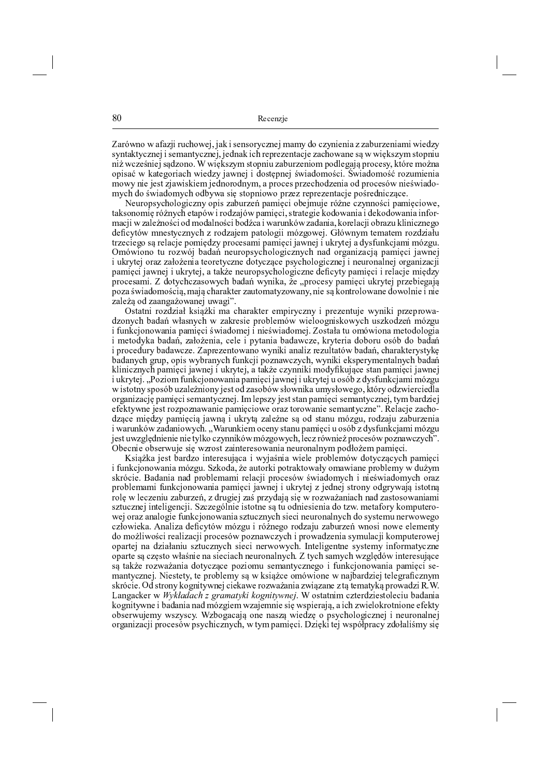= <sup>&</sup>gt; ? @ <sup>A</sup> <sup>B</sup> <sup>C</sup> <sup>A</sup> <sup>&</sup>gt; <sup>D</sup> <sup>&</sup>gt; <sup>E</sup> <sup>F</sup> <sup>G</sup> ? <sup>H</sup> <sup>I</sup> <sup>J</sup> <sup>C</sup> <sup>A</sup> <sup>K</sup> <sup>F</sup> <sup>L</sup> <sup>F</sup> <sup>&</sup>gt; <sup>M</sup> <sup>G</sup> <sup>N</sup> <sup>K</sup> <sup>B</sup> <sup>N</sup> <sup>C</sup> ? <sup>O</sup> <sup>I</sup> <sup>E</sup> <sup>B</sup> <sup>K</sup> <sup>F</sup> <sup>P</sup> <sup>&</sup>gt; <sup>P</sup> <sup>O</sup> <sup>Q</sup> <sup>C</sup> <sup>I</sup> <sup>E</sup> <sup>O</sup> <sup>B</sup> <sup>G</sup> <sup>K</sup> <sup>B</sup> <sup>G</sup> <sup>&</sup>gt; <sup>E</sup> <sup>E</sup> <sup>&</sup>gt; <sup>R</sup> <sup>H</sup> ? <sup>E</sup> <sup>K</sup> <sup>B</sup> <sup>G</sup> <sup>&</sup>gt; <sup>P</sup> <sup>G</sup> <sup>A</sup> <sup>G</sup> <sup>K</sup> <sup>Q</sup> <sup>E</sup> <sup>O</sup> N O B S O I E B K F A G I S O I A G I S O I A G E K E K S O I H A G E A G H A G H A G U A A G U A A G H A G H  $C$  , and a gradient contract the set of the set of the set of the set of the set of the set of the set of the set of the set of the set of the set of the set of the set of the set of the set of the set of the set of the

 $\mathcal{L} = \mathcal{L} = \mathcal{L} = \mathcal{L} = \mathcal{L} = \mathcal{L} = \mathcal{L} = \mathcal{L} = \mathcal{L} = \mathcal{L} = \mathcal{L} = \mathcal{L} = \mathcal{L} = \mathcal{L} = \mathcal{L} = \mathcal{L} = \mathcal{L} = \mathcal{L} = \mathcal{L} = \mathcal{L} = \mathcal{L} = \mathcal{L} = \mathcal{L} = \mathcal{L} = \mathcal{L} = \mathcal{L} = \mathcal{L} = \mathcal{L} = \mathcal{L} = \mathcal{L} = \mathcal{L} = \mathcal$ S <sup>&</sup>gt; <sup>M</sup> <sup>N</sup> <sup>C</sup> <sup>B</sup> <sup>C</sup> <sup>P</sup> <sup>G</sup> <sup>V</sup> ? @ <sup>W</sup> <sup>B</sup> <sup>O</sup> <sup>I</sup> <sup>J</sup> <sup>K</sup> <sup>S</sup> <sup>&</sup>gt; <sup>T</sup> @ <sup>A</sup> <sup>G</sup> ? <sup>C</sup> <sup>Q</sup> <sup>E</sup> <sup>&</sup>gt; <sup>F</sup> @ <sup>A</sup> <sup>T</sup> <sup>&</sup>gt; <sup>P</sup> <sup>G</sup> <sup>V</sup> <sup>I</sup> <sup>G</sup> <sup>L</sup> <sup>N</sup> <sup>S</sup> ? <sup>&</sup>gt; <sup>S</sup> <sup>K</sup> \ <sup>G</sup> <sup>K</sup> <sup>M</sup> <sup>C</sup> <sup>Q</sup> <sup>C</sup> <sup>A</sup> <sup>&</sup>gt; <sup>B</sup> <sup>G</sup> <sup>&</sup>gt; <sup>G</sup> <sup>Q</sup> <sup>K</sup> <sup>M</sup> <sup>C</sup> <sup>Q</sup> <sup>C</sup> <sup>A</sup> <sup>&</sup>gt; <sup>B</sup> <sup>G</sup> <sup>&</sup>gt; <sup>G</sup> <sup>B</sup> <sup>D</sup> <sup>C</sup> ? \_  $\mathcal{L}=\mathcal{L}=\mathcal{L}=\mathcal{L}=\mathcal{L}=\mathcal{L}=\mathcal{L}=\mathcal{L}=\mathcal{L}=\mathcal{L}=\mathcal{L}=\mathcal{L}=\mathcal{L}=\mathcal{L}=\mathcal{L}=\mathcal{L}=\mathcal{L}=\mathcal{L}=\mathcal{L}=\mathcal{L}=\mathcal{L}=\mathcal{L}=\mathcal{L}=\mathcal{L}=\mathcal{L}=\mathcal{L}=\mathcal{L}=\mathcal{L}=\mathcal{L}=\mathcal{L}=\mathcal{L}=\mathcal{L}=\mathcal{L}=\mathcal{L}=\mathcal{L}=\mathcal{L}=\mathcal{$ T P G V I G G V A B K K H . C T N O I J C I O I G I G I G I O S O T O S O T O T O T O I G G G E O I G V G V G

f N <sup>S</sup> <sup>&</sup>gt; <sup>S</sup> <sup>B</sup> <sup>G</sup> ? <sup>C</sup> <sup>E</sup> <sup>Q</sup> <sup>E</sup> <sup>G</sup> <sup>&</sup>gt; <sup>e</sup> <sup>M</sup> <sup>N</sup> <sup>G</sup> <sup>U</sup> <sup>W</sup> <sup>M</sup> <sup>G</sup> <sup>P</sup> <sup>&</sup>gt; <sup>I</sup> <sup>J</sup> <sup>&</sup>gt; ? <sup>&</sup>gt; <sup>M</sup> <sup>S</sup> <sup>K</sup> ? <sup>K</sup> <sup>P</sup> <sup>T</sup> <sup>G</sup> ? <sup>O</sup> <sup>I</sup> <sup>E</sup> <sup>B</sup> <sup>O</sup> <sup>G</sup> <sup>T</sup> ? <sup>K</sup> <sup>E</sup> <sup>K</sup> <sup>B</sup> <sup>S</sup> <sup>H</sup> <sup>F</sup> <sup>K</sup> <sup>A</sup> <sup>O</sup> <sup>B</sup> <sup>G</sup> <sup>M</sup> <sup>G</sup> <sup>T</sup> ? <sup>E</sup> <sup>K</sup> <sup>T</sup> ? <sup>C</sup> <sup>A</sup> <sup>&</sup>gt; \_  $\mathcal{L} = \mathcal{L} = \mathcal{L} = \mathcal{L} = \mathcal{L} = \mathcal{L} = \mathcal{L} = \mathcal{L} = \mathcal{L} = \mathcal{L} = \mathcal{L} = \mathcal{L} = \mathcal{L} = \mathcal{L} = \mathcal{L} = \mathcal{L} = \mathcal{L} = \mathcal{L} = \mathcal{L} = \mathcal{L} = \mathcal{L} = \mathcal{L} = \mathcal{L} = \mathcal{L} = \mathcal{L} = \mathcal{L} = \mathcal{L} = \mathcal{L} = \mathcal{L} = \mathcal{L} = \mathcal{L} = \mathcal$ G <sup>D</sup> <sup>H</sup> <sup>B</sup> <sup>M</sup> <sup>I</sup> <sup>F</sup> <sup>C</sup> <sup>B</sup> <sup>C</sup> <sup>A</sup> <sup>&</sup>gt; <sup>B</sup> <sup>G</sup> <sup>&</sup>gt; <sup>T</sup> <sup>&</sup>gt; <sup>P</sup> <sup>G</sup> <sup>V</sup> <sup>I</sup> <sup>G</sup> <sup>X</sup> <sup>A</sup> <sup>G</sup> <sup>&</sup>gt; <sup>Q</sup> <sup>C</sup> <sup>P</sup> <sup>K</sup> <sup>F</sup> <sup>G</sup> <sup>B</sup> <sup>G</sup> <sup>K</sup> <sup>X</sup> <sup>A</sup> <sup>G</sup> <sup>&</sup>gt; <sup>Q</sup> <sup>C</sup> <sup>P</sup> <sup>K</sup> <sup>F</sup> <sup>Y</sup> <sup>=</sup> <sup>C</sup> <sup>N</sup> <sup>S</sup> <sup>&</sup>gt; <sup>e</sup> <sup>&</sup>gt; <sup>S</sup> <sup>H</sup> <sup>C</sup> <sup>P</sup> @ <sup>A</sup> <sup>G</sup> <sup>C</sup> <sup>B</sup> <sup>&</sup>gt; <sup>P</sup> <sup>K</sup> <sup>S</sup> <sup>C</sup> <sup>Q</sup> <sup>C</sup> [ <sup>C</sup> \ <sup>G</sup> <sup>&</sup>gt; G <sup>H</sup> <sup>M</sup> ? <sup>O</sup> <sup>S</sup> <sup>K</sup> <sup>F</sup> <sup>Y</sup> <sup>g</sup> <sup>i</sup> <sup>C</sup> <sup>E</sup> <sup>G</sup> <sup>C</sup> <sup>P</sup> <sup>D</sup> <sup>H</sup> <sup>B</sup> <sup>M</sup> <sup>I</sup> <sup>F</sup> <sup>C</sup> <sup>B</sup> <sup>C</sup> <sup>A</sup> <sup>&</sup>gt; <sup>B</sup> <sup>G</sup> <sup>&</sup>gt; <sup>T</sup> <sup>&</sup>gt; <sup>P</sup> <sup>G</sup> <sup>V</sup> <sup>I</sup> <sup>G</sup> <sup>F</sup> <sup>&</sup>gt; <sup>A</sup> <sup>B</sup> <sup>K</sup> <sup>F</sup> <sup>G</sup> <sup>H</sup> <sup>M</sup> ? <sup>O</sup> <sup>S</sup> <sup>K</sup> <sup>F</sup> <sup>H</sup> <sup>C</sup> <sup>N</sup> @ <sup>R</sup> <sup>E</sup> <sup>Q</sup> <sup>O</sup> <sup>N</sup> <sup>D</sup> <sup>H</sup> <sup>B</sup> <sup>M</sup> <sup>I</sup> <sup>F</sup> <sup>&</sup>gt; <sup>P</sup> <sup>G</sup> <sup>P</sup> @ <sup>E</sup> \ <sup>H</sup>  $A$  and a gradient contract the contract of the contract of the contract of the contract of the contract of the contract of the contract of the contract of the contract of the contract of the contract of the contract of t F A G K A E O B G K A G A P A B G K A D I L E A O I J L E R A B G K W T . C I H Z E D I L E D I L E O I L E O f R <sup>K</sup> <sup>I</sup> <sup>B</sup> <sup>G</sup> <sup>K</sup> <sup>C</sup> <sup>R</sup> <sup>N</sup> <sup>K</sup> ? <sup>A</sup> <sup>H</sup> <sup>F</sup> <sup>K</sup> <sup>N</sup> <sup>G</sup> <sup>V</sup> <sup>A</sup> <sup>E</sup> ? <sup>C</sup> <sup>N</sup> <sup>S</sup> <sup>E</sup> <sup>&</sup>gt; <sup>G</sup> <sup>B</sup> <sup>S</sup> <sup>K</sup> ? <sup>K</sup> <sup>N</sup> <sup>C</sup> <sup>A</sup> <sup>&</sup>gt; <sup>B</sup> <sup>G</sup> <sup>&</sup>gt; <sup>B</sup> <sup>K</sup> <sup>H</sup> ? <sup>C</sup> <sup>B</sup> <sup>&</sup>gt; [ <sup>B</sup> <sup>O</sup> <sup>P</sup> <sup>T</sup> <sup>C</sup> <sup>Q</sup> <sup>e</sup> <sup>C</sup> <sup>W</sup> <sup>K</sup> <sup>P</sup> <sup>T</sup> <sup>&</sup>gt; <sup>P</sup> <sup>G</sup> <sup>V</sup> <sup>I</sup> <sup>G</sup> <sup>Y</sup>

. C  $\mathbf{r} = \mathbf{r} = \mathbf{r} = \mathbf{r} = \mathbf{r} = \mathbf{r} = \mathbf{r} = \mathbf{r} = \mathbf{r} = \mathbf{r} = \mathbf{r} = \mathbf{r} = \mathbf{r} = \mathbf{r} = \mathbf{r} = \mathbf{r} = \mathbf{r} = \mathbf{r} = \mathbf{r} = \mathbf{r} = \mathbf{r} = \mathbf{r} = \mathbf{r} = \mathbf{r} = \mathbf{r} = \mathbf{r} = \mathbf{r} = \mathbf{r} = \mathbf{r} = \mathbf{r} = \mathbf{r}$ N <sup>E</sup> <sup>S</sup> <sup>H</sup> <sup>I</sup> <sup>E</sup> <sup>B</sup> <sup>K</sup> <sup>F</sup> <sup>G</sup> <sup>B</sup> <sup>S</sup> <sup>K</sup> [ <sup>G</sup> \ <sup>K</sup> <sup>B</sup> <sup>I</sup> <sup>F</sup> <sup>G</sup> <sup>Y</sup> <sup>m</sup> <sup>E</sup> <sup>I</sup> <sup>E</sup> <sup>K</sup> \ @ [ <sup>B</sup> <sup>G</sup> <sup>K</sup> <sup>G</sup> <sup>N</sup> <sup>S</sup> <sup>C</sup> <sup>S</sup> <sup>B</sup> <sup>K</sup> <sup>N</sup> <sup>U</sup> <sup>S</sup> <sup>H</sup> <sup>C</sup> <sup>Q</sup> <sup>B</sup> <sup>G</sup> <sup>K</sup> <sup>N</sup> <sup>G</sup> <sup>K</sup> <sup>B</sup> <sup>G</sup> <sup>&</sup>gt; <sup>Q</sup> <sup>C</sup> <sup>S</sup> <sup>E</sup> <sup>A</sup> <sup>Y</sup> <sup>P</sup> <sup>K</sup> <sup>S</sup> <sup>&</sup>gt; <sup>D</sup> <sup>C</sup> ? <sup>O</sup> <sup>M</sup> <sup>C</sup> <sup>P</sup> <sup>T</sup> <sup>H</sup> <sup>S</sup> <sup>K</sup> ? <sup>C</sup> \_ człowieka. Analiza deficytów mózgu i różnego rodzaju zaburzeń wnosi nowe elementy  $C$  , and the set of the set of the set of the set of the set of the set of the set of the set of the set of the set of the set of the set of the set of the set of the set of the set of the set of the set of the set of th N W G A S O I E U I K T C G G C P H N K P H N K P H S O I E B K A S O I G D H B M I F C A S O I E G D H B G V skrócie. Od strony kognitywnej ciekawe rozważania związane z tą tematyką prowadzi R.W Langacker w Wykładach z gramatyki kognitywnej. W ostatnim czterdziestoleciu badania  $\mathcal{L} = \mathcal{L} = \mathcal{L} = \mathcal{L} = \mathcal{L} = \mathcal{L} = \mathcal{L} = \mathcal{L} = \mathcal{L} = \mathcal{L} = \mathcal{L} = \mathcal{L} = \mathcal{L} = \mathcal{L} = \mathcal{L} = \mathcal{L} = \mathcal{L} = \mathcal{L} = \mathcal{L} = \mathcal{L} = \mathcal{L} = \mathcal{L} = \mathcal{L} = \mathcal{L} = \mathcal{L} = \mathcal{L} = \mathcal{L} = \mathcal{L} = \mathcal{L} = \mathcal{L} = \mathcal{L} = \mathcal$ C ? B G E G E G E G E G I G I L A S O P T A T A T G E G U G E G U G E G E T A N T O E G E G E G E G E G E G E

80